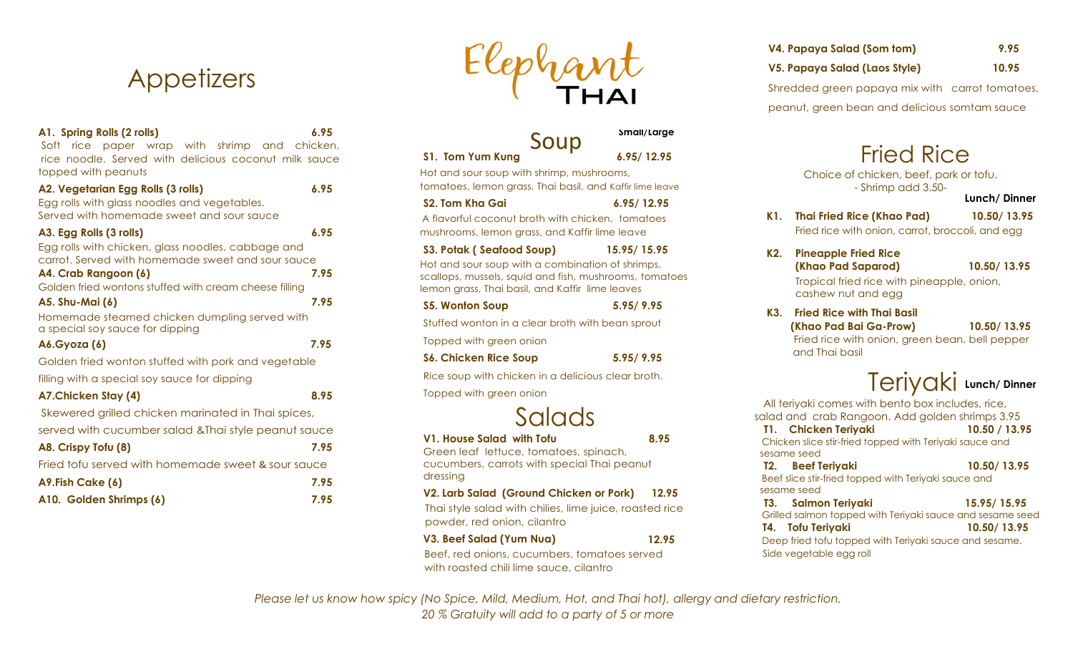# **Appetizers**

| A1. Spring Rolls (2 rolls)                                                                                                       | 6.95 |
|----------------------------------------------------------------------------------------------------------------------------------|------|
| rice paper wrap with shrimp and chicken,<br>Soft<br>rice noodle. Served with delicious coconut milk sauce<br>topped with peanuts |      |
|                                                                                                                                  |      |
| A2. Vegetarian Egg Rolls (3 rolls)<br>Egg rolls with glass noodles and vegetables.                                               | 6.95 |
| Served with homemade sweet and sour sauce                                                                                        |      |
| A3. Egg Rolls (3 rolls)                                                                                                          | 6.95 |
| Egg rolls with chicken, glass noodles, cabbage and                                                                               |      |
| carrot. Served with homemade sweet and sour sauce                                                                                |      |
| A4. Crab Rangoon (6)                                                                                                             | 7.95 |
| Golden fried wontons stuffed with cream cheese filling                                                                           |      |
| A5. Shu-Mai (6)                                                                                                                  | 7.95 |
| Homemade steamed chicken dumpling served with<br>a special soy sauce for dipping                                                 |      |
| <b>A6.Gyoza</b> (6)                                                                                                              | 7.95 |
| Golden fried wonton stuffed with pork and vegetable                                                                              |      |
| filling with a special soy sauce for dipping                                                                                     |      |
| A7.Chicken Stay (4)                                                                                                              | 8.95 |
| Skewered grilled chicken marinated in Thai spices,                                                                               |      |
| served with cucumber salad & Thai style peanut sauce                                                                             |      |
| A8. Crispy Tofu (8)                                                                                                              | 7.95 |
| Fried tofu served with homemade sweet & sour sauce                                                                               |      |
| A9.Fish Cake (6)                                                                                                                 | 7.95 |
| A10. Golden Shrimps (6)                                                                                                          | 7.95 |



| Soup                                                    | Small/Large |
|---------------------------------------------------------|-------------|
| S1. Tom Yum Kung                                        | 6.95/12.95  |
| Hot and sour soup with shrimp, mushrooms,               |             |
| $+$ ametaas laman arass Thai basil, and Kaffislima lamu |             |

 tomatoes, lemon grass, Thai basil, and Kaffir lime leave **S2. Tom Kha Gai 6.95/ 12.95** 

 A flavorful coconut broth with chicken, tomatoes mushrooms, lemon grass, and Kaffir lime leave

| S3. Potak (Seafood Soup)                               | 15.95/15.95 |
|--------------------------------------------------------|-------------|
| Hot and sour soup with a combination of shrimps,       |             |
| scallops, mussels, squid and fish, mushrooms, tomatoes |             |
| lemon grass, Thai basil, and Kaffir lime leaves        |             |
|                                                        |             |

**S5. Wonton Soup 5.95/ 9.95** Stuffed wonton in a clear broth with bean sprout

Topped with green onion

**S6. Chicken Rice Soup 5.95/ 9.95**

Rice soup with chicken in a delicious clear broth. Topped with green onion



**V1. House Salad with Tofu 8.95**

Green leaf lettuce, tomatoes, spinach, cucumbers, carrots with special Thai peanut dressing

**V2. Larb Salad (Ground Chicken or Pork) 12.95**  Thai style salad with chilies, lime juice, roasted rice powder, red onion, cilantro

**V3. Beef Salad (Yum Nua) 12.95**

 Beef, red onions, cucumbers, tomatoes served with roasted chili lime sauce, cilantro

|  | V4. Papaya Salad (Som tom) | 9.95 |
|--|----------------------------|------|
|  |                            |      |

**V5. Papaya Salad (Laos Style) 10.95**

Shredded green papaya mix with carrot tomatoes, peanut, green bean and delicious somtam sauce

# Fried Rice

Choice of chicken, beef, pork or tofu. - Shrimp add 3.50-

**Lunch/ Dinner**

**K1. Thai Fried Rice (Khao Pad) 10.50/ 13.95** Fried rice with onion, carrot, broccoli, and egg

## **K2. Pineapple Fried Rice (Khao Pad Saparod) 10.50/ 13.95** Tropical fried rice with pineapple, onion,

cashew nut and egg

## **K3. Fried Rice with Thai Basil (Khao Pad Bai Ga-Prow) 10.50/ 13.95**

Fried rice with onion, green bean, bell pepper and Thai basil

# Teriyaki **Lunch/ Dinner**

 All teriyaki comes with bento box includes, rice, salad and crab Rangoon. Add golden shrimps 3.95  **T1. Chicken Teriyaki 10.50 / 13.95** Chicken slice stir-fried topped with Teriyaki sauce and sesame seed  **T2. Beef Teriyaki 10.50/ 13.95** Beef slice stir-fried topped with Teriyaki sauce and sesame seed  **T3. Salmon Teriyaki 15.95/ 15.95** Grilled salmon topped with Teriyaki sauce and sesame seed **T4. Tofu Teriyaki 10.50/ 13.95** Deep fried tofu topped with Teriyaki sauce and sesame. Side vegetable egg roll

*Please let us know how spicy (No Spice, Mild, Medium, Hot, and Thai hot), allergy and dietary restriction. 20 % Gratuity will add to a party of 5 or more*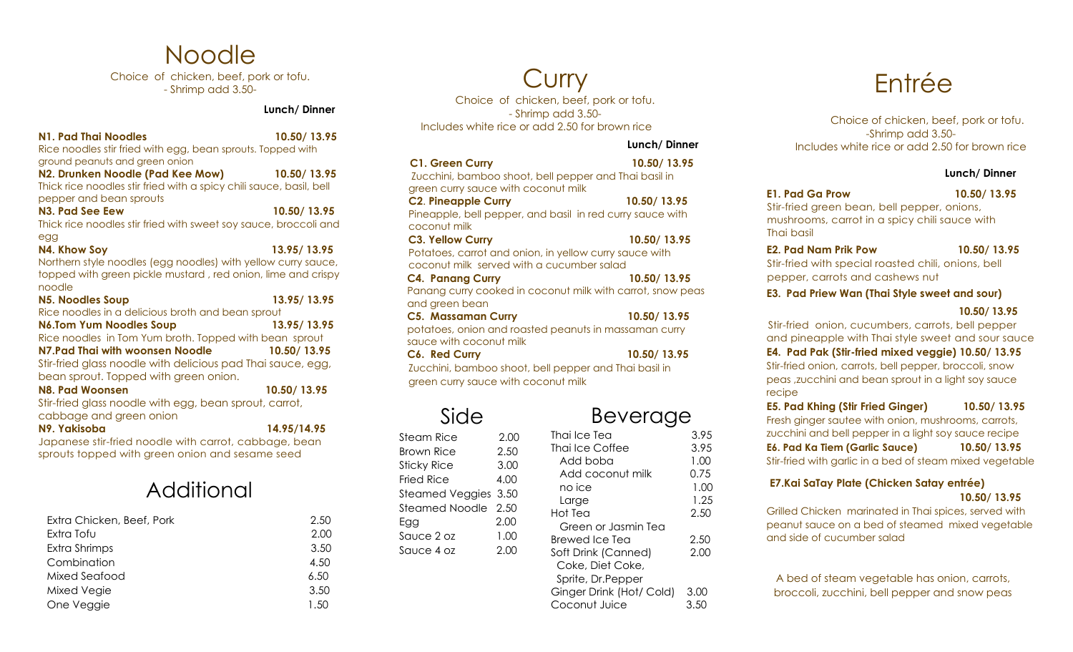## Noodle

Choice of chicken, beef, pork or tofu. - Shrimp add 3.50-

### **Lunch/ Dinner**

**N1. Pad Thai Noodles 10.50/ 13.95** Rice noodles stir fried with egg, bean sprouts. Topped with ground peanuts and green onion

**N2. Drunken Noodle (Pad Kee Mow) 10.50/ 13.95** Thick rice noodles stir fried with a spicy chili sauce, basil, bell pepper and bean sprouts **N3. Pad See Eew 10.50/ 13.95**

Thick rice noodles stir fried with sweet soy sauce, broccoli and egg

**N4. Khow Soy 13.95/ 13.95** Northern style noodles (egg noodles) with yellow curry sauce, topped with green pickle mustard , red onion, lime and crispy noodle

| <b>N5. Noodles Soup</b>                                     | 13.95/13.95 |
|-------------------------------------------------------------|-------------|
| Rice noodles in a delicious broth and bean sprout           |             |
| <b>N6.Tom Yum Noodles Soup</b>                              | 13.95/13.95 |
| Rice noodles in Tom Yum broth. Topped with bean sprout      |             |
| N7. Pad Thai with woonsen Noodle                            | 10.50/13.95 |
| Stir-fried glass noodle with delicious pad Thai sauce, egg, |             |
| bean sprout. Topped with green onion.                       |             |
| N8. Pad Woonsen                                             | 10.50/13.95 |
| Stir-fried glass noodle with egg, bean sprout, carrot,      |             |
| cabbage and green onion                                     |             |
|                                                             |             |

**N9. Yakisoba 14.95/14.95**

Japanese stir-fried noodle with carrot, cabbage, bean sprouts topped with green onion and sesame seed

## Additional

| Extra Chicken, Beef, Pork | 2.50 |
|---------------------------|------|
| Extra Tofu                | 2.00 |
| Extra Shrimps             | 3.50 |
| Combination               | 4.50 |
| Mixed Seafood             | 6.50 |
| Mixed Vegie               | 3.50 |
| One Veggie                | 1.50 |

Curry

Choice of chicken, beef, pork or tofu. - Shrimp add 3.50- Includes white rice or add 2.50 for brown rice

### **Lunch/ Dinner**

| <b>C1. Green Curry</b><br>Zucchini, bamboo shoot, bell pepper and Thai basil in<br>green curry sauce with coconut milk | 10.50/13.95                                                |
|------------------------------------------------------------------------------------------------------------------------|------------------------------------------------------------|
| <b>C2. Pineapple Curry</b>                                                                                             | 10.50/13.95                                                |
| coconut milk                                                                                                           | Pineapple, bell pepper, and basil in red curry sauce with  |
| <b>C3. Yellow Curry</b>                                                                                                | 10.50/13.95                                                |
| Potatoes, carrot and onion, in yellow curry sauce with<br>coconut milk served with a cucumber salad                    |                                                            |
| <b>C4. Panang Curry</b>                                                                                                | 10.50/13.95                                                |
| and green bean                                                                                                         | Panang curry cooked in coconut milk with carrot, snow peas |
| <b>C5. Massaman Curry</b>                                                                                              | 10.50/13.95                                                |
| sauce with coconut milk                                                                                                | potatoes, onion and roasted peanuts in massaman curry      |
| C <sub>6</sub> . Red Curry                                                                                             | 10.50/13.95                                                |
| Zucchini, bamboo shoot, bell pepper and Thai basil in<br>green curry sauce with coconut milk                           |                                                            |
|                                                                                                                        | veraae                                                     |

| Steam Rice           | 2.00 |
|----------------------|------|
| Brown Rice           | 2.50 |
| <b>Sticky Rice</b>   | 3.00 |
| Fried Rice           | 4.00 |
| Steamed Veggies 3.50 |      |
| Steamed Noodle 2.50  |      |
| Egg                  | 2.00 |
| Sauce 2 oz           | 1.00 |
| Sauce 4 oz           | 2.00 |
|                      |      |
|                      |      |
|                      |      |

| <b>Beverage</b> |  |
|-----------------|--|

| Thai Ice Tea             | 3.95 |
|--------------------------|------|
| Thai Ice Coffee          | 3.95 |
| Add boba                 | 1.00 |
| Add coconut milk         | 0.75 |
| no ice                   | 1.00 |
| Large                    | 1.25 |
| Hot Tea                  | 2.50 |
| Green or Jasmin Tea      |      |
| Brewed Ice Tea           | 2.50 |
| Soft Drink (Canned)      | 2.00 |
| Coke, Diet Coke,         |      |
| Sprite, Dr.Pepper        |      |
| Ginger Drink (Hot/ Cold) | 3.00 |
| Coconut Juice            | 3.50 |

# Entrée

Choice of chicken, beef, pork or tofu. -Shrimp add 3.50- Includes white rice or add 2.50 for brown rice

### **Lunch/ Dinner**

**E1. Pad Ga Prow 10.50/ 13.95**

 Stir-fried green bean, bell pepper, onions, mushrooms, carrot in a spicy chili sauce with Thai basil

**E2. Pad Nam Prik Pow 10.50/ 13.95**

 Stir-fried with special roasted chili, onions, bell pepper, carrots and cashews nut

### **E3. Pad Priew Wan (Thai Style sweet and sour)**

### **10.50/ 13.95**

Stir-fried onion, cucumbers, carrots, bell pepper and pineapple with Thai style sweet and sour sauce

**E4. Pad Pak (Stir-fried mixed veggie) 10.50/ 13.95** Stir-fried onion, carrots, bell pepper, broccoli, snow peas ,zucchini and bean sprout in a light soy sauce recipe

**E5. Pad Khing (Stir Fried Ginger) 10.50/ 13.95** Fresh ginger sautee with onion, mushrooms, carrots, zucchini and bell pepper in a light soy sauce recipe **E6. Pad Ka Tiem (Garlic Sauce) 10.50/ 13.95** Stir-fried with garlic in a bed of steam mixed vegetable

## **E7.Kai SaTay Plate (Chicken Satay entrée) 10.50/ 13.95**

Grilled Chicken marinated in Thai spices, served with peanut sauce on a bed of steamed mixed vegetable and side of cucumber salad

A bed of steam vegetable has onion, carrots, broccoli, zucchini, bell pepper and snow peas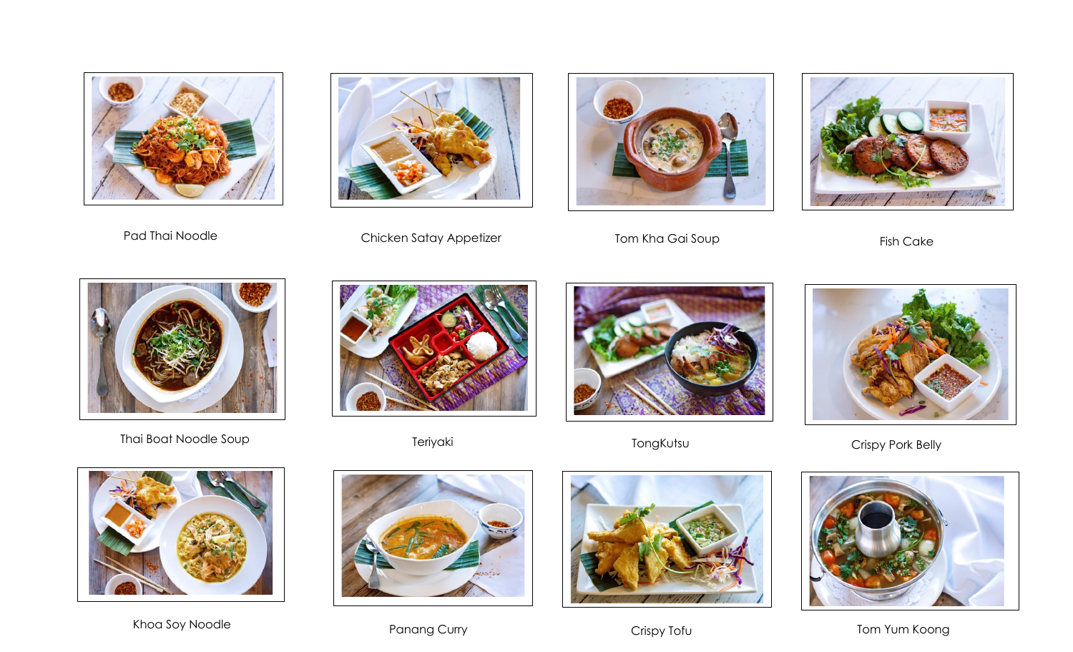



Pad Thai Noodle **Example 20 Studies Chicken Satay Appetizer** Tom Kha Gai Soup Fish Cake Fish Cake







Thai Boat Noodle Soup **Teriyaki** Teriyaki Teriyaki TongKutsu TongKutsu Crispy Pork Belly











Khoa Soy Noodle **Example 2008** Panang Curry Crispy Tofu Crispy Tofu Tom Yum Koong